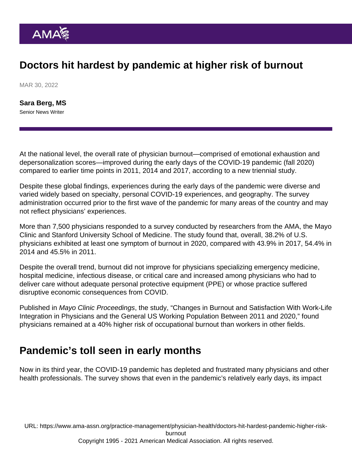# Doctors hit hardest by pandemic at higher risk of burnout

MAR 30, 2022

[Sara Berg, MS](https://www.ama-assn.org/news-leadership-viewpoints/authors-news-leadership-viewpoints/sara-berg-ms) Senior News Writer

At the national level, the overall rate of physician burnout—comprised of emotional exhaustion and depersonalization scores—improved during the early days of the COVID-19 pandemic (fall 2020) compared to earlier time points in 2011, 2014 and 2017, according to a new triennial study.

Despite these global findings, experiences during the early days of the pandemic were diverse and varied widely based on specialty, personal COVID-19 experiences, and geography. The survey administration occurred prior to the first wave of the pandemic for many areas of the country and may not reflect physicians' experiences.

More than 7,500 physicians responded to a survey conducted by researchers from the AMA, the Mayo Clinic and Stanford University School of Medicine. The study found that, overall, 38.2% of U.S. physicians exhibited at least one symptom of burnout in 2020, compared with 43.9% in 2017, 54.4% in 2014 and 45.5% in 2011.

Despite the overall trend, burnout did not improve for physicians specializing emergency medicine, hospital medicine, infectious disease, or critical care and increased among physicians who had to deliver care without adequate personal protective equipment (PPE) or whose practice suffered disruptive economic consequences from COVID.

Published in Mayo Clinic Proceedings, the study, "[Changes in Burnout and Satisfaction With Work-Life](https://www.mayoclinicproceedings.org/article/S0025-6196(21)00872-7/fulltext) [Integration in Physicians and the General US Working Population Between 2011 and 2020](https://www.mayoclinicproceedings.org/article/S0025-6196(21)00872-7/fulltext)," found physicians remained at a 40% higher risk of occupational burnout than workers in other fields.

## Pandemic's toll seen in early months

Now in its third year, the COVID-19 pandemic has depleted and frustrated many physicians and other health professionals. The survey shows that even in the pandemic's relatively early days, its impact

URL: [https://www.ama-assn.org/practice-management/physician-health/doctors-hit-hardest-pandemic-higher-risk-](https://www.ama-assn.org/practice-management/physician-health/doctors-hit-hardest-pandemic-higher-risk-burnout)

[burnout](https://www.ama-assn.org/practice-management/physician-health/doctors-hit-hardest-pandemic-higher-risk-burnout)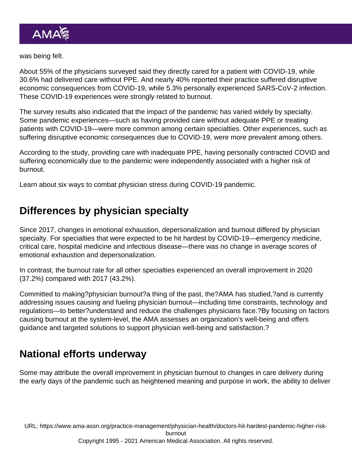#### was being felt.

About 55% of the physicians surveyed said they directly cared for a patient with COVID-19, while 30.6% had delivered care without PPE. And nearly 40% reported their practice suffered disruptive economic consequences from COVID-19, while 5.3% personally experienced SARS-CoV-2 infection. These COVID-19 experiences were strongly related to burnout.

The survey results also indicated that the impact of the pandemic has varied widely by specialty. Some pandemic experiences—such as having provided care without adequate PPE or treating patients with COVID-19—were more common among certain specialties. Other experiences, such as suffering disruptive economic consequences due to COVID-19, were more prevalent among others.

According to the study, providing care with inadequate PPE, having personally contracted COVID and suffering economically due to the pandemic were independently associated with a higher risk of burnout.

Learn about [six ways to combat physician stress during COVID-19 pandemic](https://www.ama-assn.org/delivering-care/public-health/6-ways-address-physician-stress-during-covid-19-pandemic).

### Differences by physician specialty

Since 2017, changes in emotional exhaustion, depersonalization and burnout differed by physician specialty. For specialties that were expected to be hit hardest by COVID-19—emergency medicine, critical care, hospital medicine and infectious disease—there was no change in average scores of emotional exhaustion and depersonalization.

In contrast, the burnout rate for all other specialties experienced an overall improvement in 2020 (37.2%) compared with 2017 (43.2%).

Committed to making[?physician burnout](https://edhub.ama-assn.org/pages/physician-burnout)?a thing of the past, the?AMA has studied,?and is currently addressing issues causing and fueling physician burnout—including time constraints, technology and regulations—to better?understand and reduce the challenges physicians face.?By focusing on factors causing burnout at the system-level, the AMA assesses an organization's well-being and offers guidance and targeted solutions to support physician well-being and satisfaction.?

### National efforts underway

Some may attribute the overall improvement in physician burnout to changes in care delivery during the early days of the pandemic such as heightened meaning and purpose in work, the ability to deliver

URL: [https://www.ama-assn.org/practice-management/physician-health/doctors-hit-hardest-pandemic-higher-risk](https://www.ama-assn.org/practice-management/physician-health/doctors-hit-hardest-pandemic-higher-risk-burnout)[burnout](https://www.ama-assn.org/practice-management/physician-health/doctors-hit-hardest-pandemic-higher-risk-burnout) Copyright 1995 - 2021 American Medical Association. All rights reserved.